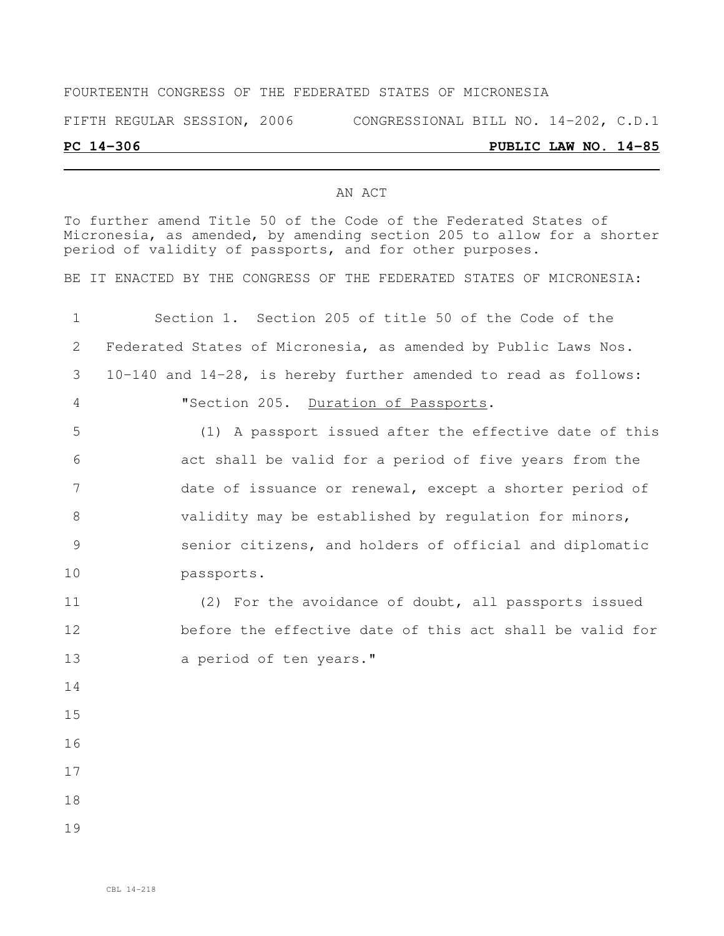## FOURTEENTH CONGRESS OF THE FEDERATED STATES OF MICRONESIA FIFTH REGULAR SESSION, 2006 CONGRESSIONAL BILL NO. 14-202, C.D.1

## **PC 14-306 PUBLIC LAW NO. 14-85**

## AN ACT

To further amend Title 50 of the Code of the Federated States of Micronesia, as amended, by amending section 205 to allow for a shorter period of validity of passports, and for other purposes.

BE IT ENACTED BY THE CONGRESS OF THE FEDERATED STATES OF MICRONESIA:

| $\mathbf 1$     | Section 1. Section 205 of title 50 of the Code of the           |
|-----------------|-----------------------------------------------------------------|
| 2               | Federated States of Micronesia, as amended by Public Laws Nos.  |
| 3               | 10-140 and 14-28, is hereby further amended to read as follows: |
| 4               | "Section 205. Duration of Passports.                            |
| 5               | (1) A passport issued after the effective date of this          |
| 6               | act shall be valid for a period of five years from the          |
| $7\phantom{.0}$ | date of issuance or renewal, except a shorter period of         |
| 8               | validity may be established by requlation for minors,           |
| 9               | senior citizens, and holders of official and diplomatic         |
| 10              | passports.                                                      |
| 11              | (2) For the avoidance of doubt, all passports issued            |
| 12              | before the effective date of this act shall be valid for        |
| 13              | a period of ten years."                                         |
| 14              |                                                                 |
| 15              |                                                                 |
| 16              |                                                                 |
| 17              |                                                                 |
| 18              |                                                                 |
| 19              |                                                                 |